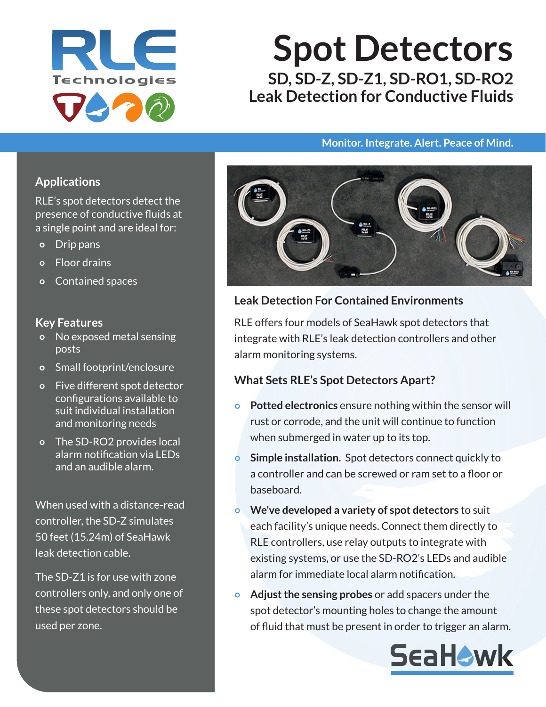

# **Spot Detectors SD, SD-Z, SD-Z1, SD-RO1, SD-RO2 Leak Detection for Conductive Fluids**

#### **Monitor. Integrate. Alert. Peace of Mind.**

## **Applications**

RLE's spot detectors detect the presence of conductive fluids at a single point and are ideal for:

- Drip pans
- Floor drains
- Contained spaces

#### **Key Features**

- o No exposed metal sensing posts
- Small footprint/enclosure
- Five different spot detector configurations available to suit individual installation and monitoring needs
- o The SD-RO2 provides local alarm notification via LEDs and an audible alarm.

When used with a distance-read controller, the SD-Z simulates 50 feet (15.24m) of SeaHawk leak detection cable.

The SD-Z1 is for use with zone controllers only, and only one of these spot detectors should be used per zone.



## **Leak Detection For Contained Environments**

RLE offers four models of SeaHawk spot detectors that integrate with RLE's leak detection controllers and other alarm monitoring systems.

#### **What Sets RLE's Spot Detectors Apart?**

- **Potted electronics** ensure nothing within the sensor will rust or corrode, and the unit will continue to function when submerged in water up to its top.
- **Simple installation.** Spot detectors connect quickly to a controller and can be screwed or ram set to a floor or baseboard.
- **We've developed a variety of spot detectors** to suit each facility's unique needs. Connect them directly to RLE controllers, use relay outputs to integrate with existing systems, or use the SD‑RO2's LEDs and audible alarm for immediate local alarm notification.
- **Adjust the sensing probes** or add spacers under the spot detector's mounting holes to change the amount of fluid that must be present in order to trigger an alarm.